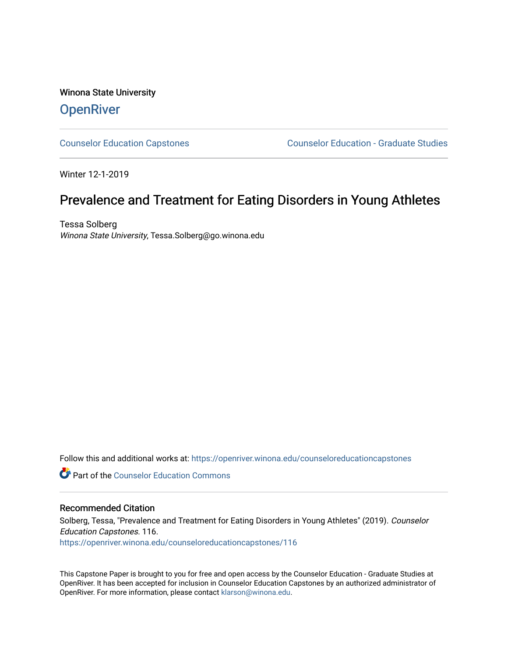# Winona State University **OpenRiver**

[Counselor Education Capstones](https://openriver.winona.edu/counseloreducationcapstones) [Counselor Education - Graduate Studies](https://openriver.winona.edu/counseloreducation) 

Winter 12-1-2019

# Prevalence and Treatment for Eating Disorders in Young Athletes

Tessa Solberg Winona State University, Tessa.Solberg@go.winona.edu

Follow this and additional works at: [https://openriver.winona.edu/counseloreducationcapstones](https://openriver.winona.edu/counseloreducationcapstones?utm_source=openriver.winona.edu%2Fcounseloreducationcapstones%2F116&utm_medium=PDF&utm_campaign=PDFCoverPages)

**C** Part of the Counselor Education Commons

# Recommended Citation

Solberg, Tessa, "Prevalence and Treatment for Eating Disorders in Young Athletes" (2019). Counselor Education Capstones. 116. [https://openriver.winona.edu/counseloreducationcapstones/116](https://openriver.winona.edu/counseloreducationcapstones/116?utm_source=openriver.winona.edu%2Fcounseloreducationcapstones%2F116&utm_medium=PDF&utm_campaign=PDFCoverPages)

This Capstone Paper is brought to you for free and open access by the Counselor Education - Graduate Studies at OpenRiver. It has been accepted for inclusion in Counselor Education Capstones by an authorized administrator of OpenRiver. For more information, please contact [klarson@winona.edu](mailto:klarson@winona.edu).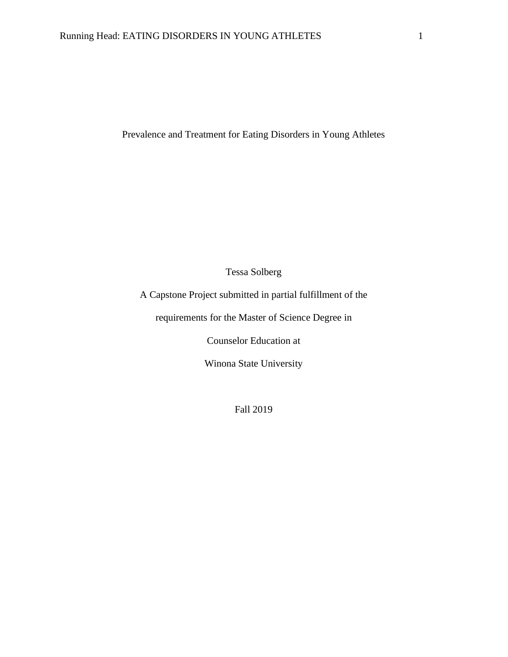Prevalence and Treatment for Eating Disorders in Young Athletes

Tessa Solberg

A Capstone Project submitted in partial fulfillment of the

requirements for the Master of Science Degree in

Counselor Education at

Winona State University

Fall 2019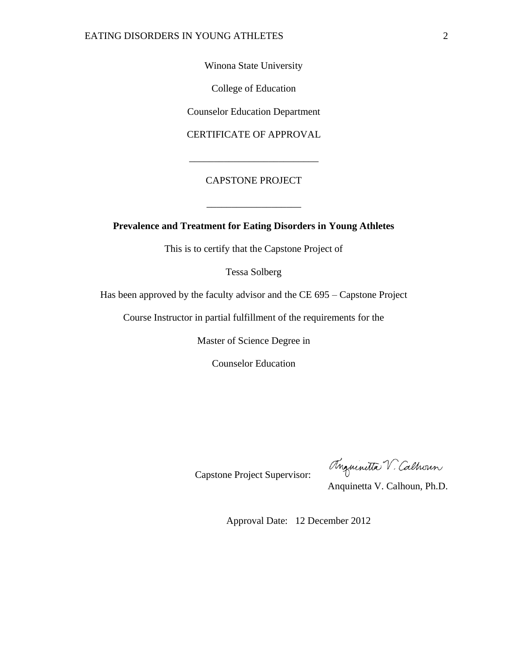Winona State University

College of Education

Counselor Education Department

CERTIFICATE OF APPROVAL

\_\_\_\_\_\_\_\_\_\_\_\_\_\_\_\_\_\_\_\_\_\_\_\_\_\_

# CAPSTONE PROJECT

\_\_\_\_\_\_\_\_\_\_\_\_\_\_\_\_\_\_\_

# **Prevalence and Treatment for Eating Disorders in Young Athletes**

This is to certify that the Capstone Project of

Tessa Solberg

Has been approved by the faculty advisor and the CE 695 – Capstone Project

Course Instructor in partial fulfillment of the requirements for the

Master of Science Degree in

Counselor Education

Capstone Project Supervisor:

Anguinitta V. Calhoun

Anquinetta V. Calhoun, Ph.D.

Approval Date: 12 December 2012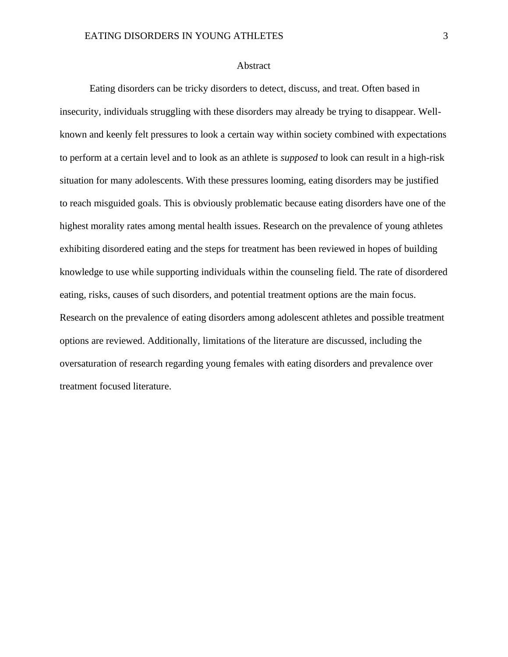# Abstract

Eating disorders can be tricky disorders to detect, discuss, and treat. Often based in insecurity, individuals struggling with these disorders may already be trying to disappear. Wellknown and keenly felt pressures to look a certain way within society combined with expectations to perform at a certain level and to look as an athlete is *supposed* to look can result in a high-risk situation for many adolescents. With these pressures looming, eating disorders may be justified to reach misguided goals. This is obviously problematic because eating disorders have one of the highest morality rates among mental health issues. Research on the prevalence of young athletes exhibiting disordered eating and the steps for treatment has been reviewed in hopes of building knowledge to use while supporting individuals within the counseling field. The rate of disordered eating, risks, causes of such disorders, and potential treatment options are the main focus. Research on the prevalence of eating disorders among adolescent athletes and possible treatment options are reviewed. Additionally, limitations of the literature are discussed, including the oversaturation of research regarding young females with eating disorders and prevalence over treatment focused literature.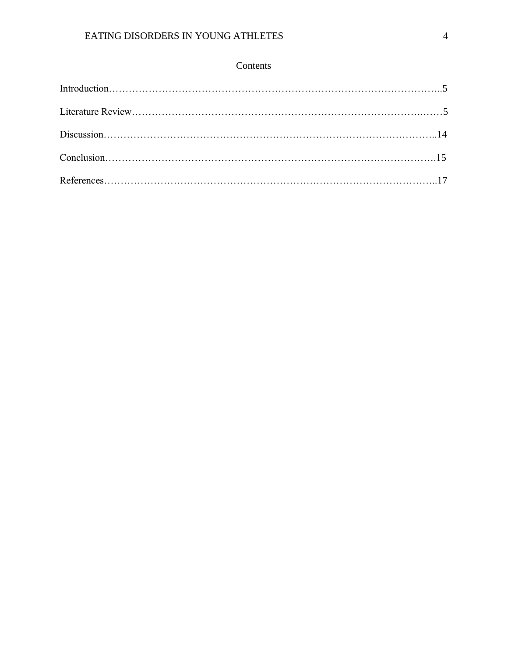# Contents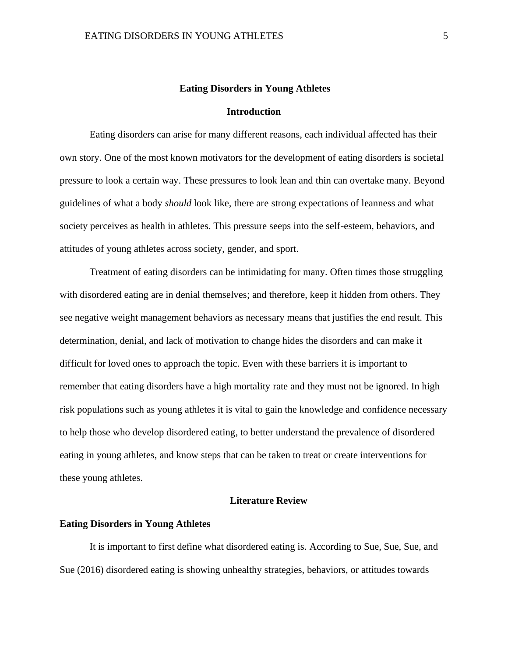# **Eating Disorders in Young Athletes**

## **Introduction**

Eating disorders can arise for many different reasons, each individual affected has their own story. One of the most known motivators for the development of eating disorders is societal pressure to look a certain way. These pressures to look lean and thin can overtake many. Beyond guidelines of what a body *should* look like, there are strong expectations of leanness and what society perceives as health in athletes. This pressure seeps into the self-esteem, behaviors, and attitudes of young athletes across society, gender, and sport.

Treatment of eating disorders can be intimidating for many. Often times those struggling with disordered eating are in denial themselves; and therefore, keep it hidden from others. They see negative weight management behaviors as necessary means that justifies the end result. This determination, denial, and lack of motivation to change hides the disorders and can make it difficult for loved ones to approach the topic. Even with these barriers it is important to remember that eating disorders have a high mortality rate and they must not be ignored. In high risk populations such as young athletes it is vital to gain the knowledge and confidence necessary to help those who develop disordered eating, to better understand the prevalence of disordered eating in young athletes, and know steps that can be taken to treat or create interventions for these young athletes.

# **Literature Review**

#### **Eating Disorders in Young Athletes**

It is important to first define what disordered eating is. According to Sue, Sue, Sue, and Sue (2016) disordered eating is showing unhealthy strategies, behaviors, or attitudes towards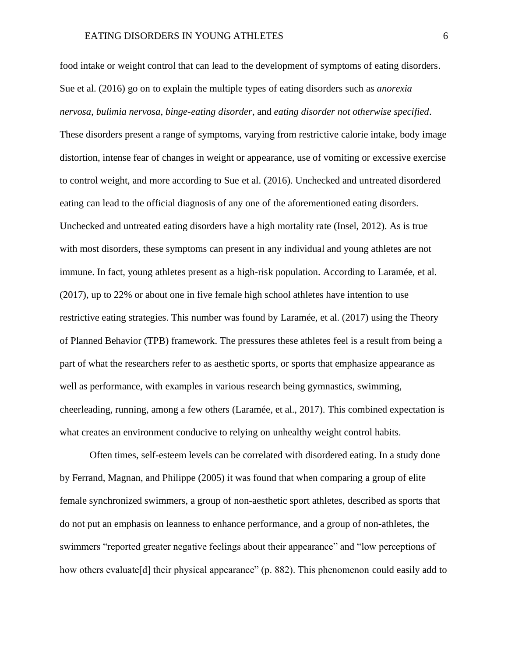food intake or weight control that can lead to the development of symptoms of eating disorders. Sue et al. (2016) go on to explain the multiple types of eating disorders such as *anorexia nervosa*, *bulimia nervosa*, *binge-eating disorder*, and *eating disorder not otherwise specified*. These disorders present a range of symptoms, varying from restrictive calorie intake, body image distortion, intense fear of changes in weight or appearance, use of vomiting or excessive exercise to control weight, and more according to Sue et al. (2016). Unchecked and untreated disordered eating can lead to the official diagnosis of any one of the aforementioned eating disorders. Unchecked and untreated eating disorders have a high mortality rate (Insel, 2012). As is true with most disorders, these symptoms can present in any individual and young athletes are not immune. In fact, young athletes present as a high-risk population. According to Laramée, et al. (2017), up to 22% or about one in five female high school athletes have intention to use restrictive eating strategies. This number was found by Laramée, et al. (2017) using the Theory of Planned Behavior (TPB) framework. The pressures these athletes feel is a result from being a part of what the researchers refer to as aesthetic sports, or sports that emphasize appearance as well as performance, with examples in various research being gymnastics, swimming, cheerleading, running, among a few others (Laramée, et al., 2017). This combined expectation is what creates an environment conducive to relying on unhealthy weight control habits.

Often times, self-esteem levels can be correlated with disordered eating. In a study done by Ferrand, Magnan, and Philippe (2005) it was found that when comparing a group of elite female synchronized swimmers, a group of non-aesthetic sport athletes, described as sports that do not put an emphasis on leanness to enhance performance, and a group of non-athletes, the swimmers "reported greater negative feelings about their appearance" and "low perceptions of how others evaluate<sup>[d]</sup> their physical appearance" (p. 882). This phenomenon could easily add to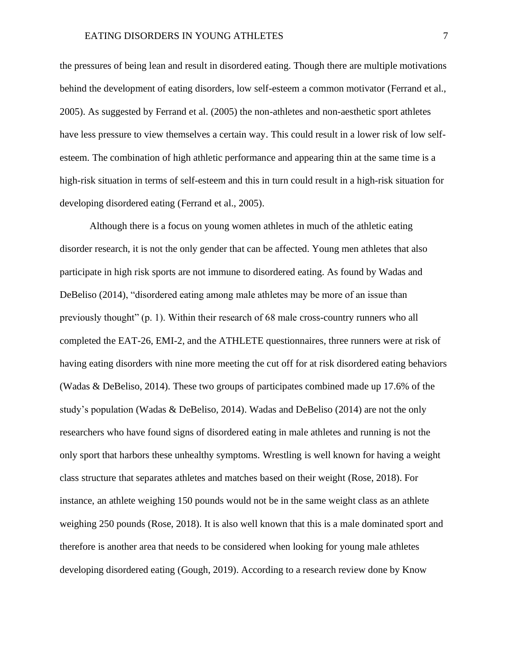the pressures of being lean and result in disordered eating. Though there are multiple motivations behind the development of eating disorders, low self-esteem a common motivator (Ferrand et al., 2005). As suggested by Ferrand et al. (2005) the non-athletes and non-aesthetic sport athletes have less pressure to view themselves a certain way. This could result in a lower risk of low selfesteem. The combination of high athletic performance and appearing thin at the same time is a high-risk situation in terms of self-esteem and this in turn could result in a high-risk situation for developing disordered eating (Ferrand et al., 2005).

Although there is a focus on young women athletes in much of the athletic eating disorder research, it is not the only gender that can be affected. Young men athletes that also participate in high risk sports are not immune to disordered eating. As found by Wadas and DeBeliso (2014), "disordered eating among male athletes may be more of an issue than previously thought" (p. 1). Within their research of 68 male cross-country runners who all completed the EAT-26, EMI-2, and the ATHLETE questionnaires, three runners were at risk of having eating disorders with nine more meeting the cut off for at risk disordered eating behaviors (Wadas & DeBeliso, 2014). These two groups of participates combined made up 17.6% of the study's population (Wadas & DeBeliso, 2014). Wadas and DeBeliso (2014) are not the only researchers who have found signs of disordered eating in male athletes and running is not the only sport that harbors these unhealthy symptoms. Wrestling is well known for having a weight class structure that separates athletes and matches based on their weight (Rose, 2018). For instance, an athlete weighing 150 pounds would not be in the same weight class as an athlete weighing 250 pounds (Rose, 2018). It is also well known that this is a male dominated sport and therefore is another area that needs to be considered when looking for young male athletes developing disordered eating (Gough, 2019). According to a research review done by Know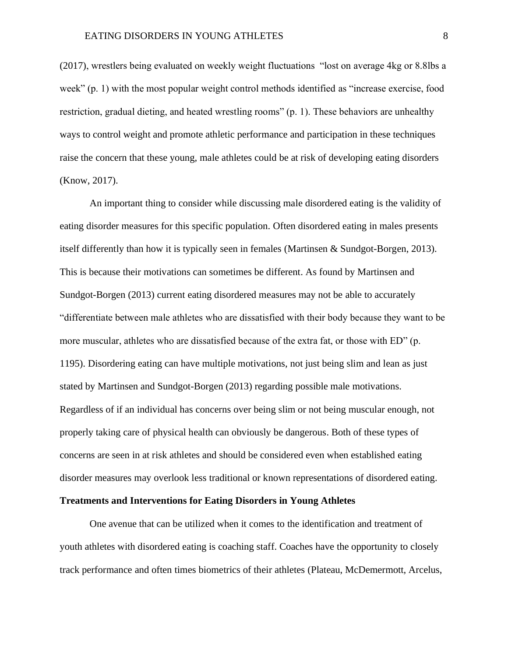(2017), wrestlers being evaluated on weekly weight fluctuations "lost on average 4kg or 8.8lbs a week" (p. 1) with the most popular weight control methods identified as "increase exercise, food restriction, gradual dieting, and heated wrestling rooms" (p. 1). These behaviors are unhealthy ways to control weight and promote athletic performance and participation in these techniques raise the concern that these young, male athletes could be at risk of developing eating disorders (Know, 2017).

An important thing to consider while discussing male disordered eating is the validity of eating disorder measures for this specific population. Often disordered eating in males presents itself differently than how it is typically seen in females (Martinsen & Sundgot-Borgen, 2013). This is because their motivations can sometimes be different. As found by Martinsen and Sundgot-Borgen (2013) current eating disordered measures may not be able to accurately "differentiate between male athletes who are dissatisfied with their body because they want to be more muscular, athletes who are dissatisfied because of the extra fat, or those with ED" (p. 1195). Disordering eating can have multiple motivations, not just being slim and lean as just stated by Martinsen and Sundgot-Borgen (2013) regarding possible male motivations. Regardless of if an individual has concerns over being slim or not being muscular enough, not properly taking care of physical health can obviously be dangerous. Both of these types of concerns are seen in at risk athletes and should be considered even when established eating disorder measures may overlook less traditional or known representations of disordered eating.

## **Treatments and Interventions for Eating Disorders in Young Athletes**

One avenue that can be utilized when it comes to the identification and treatment of youth athletes with disordered eating is coaching staff. Coaches have the opportunity to closely track performance and often times biometrics of their athletes (Plateau, McDemermott, Arcelus,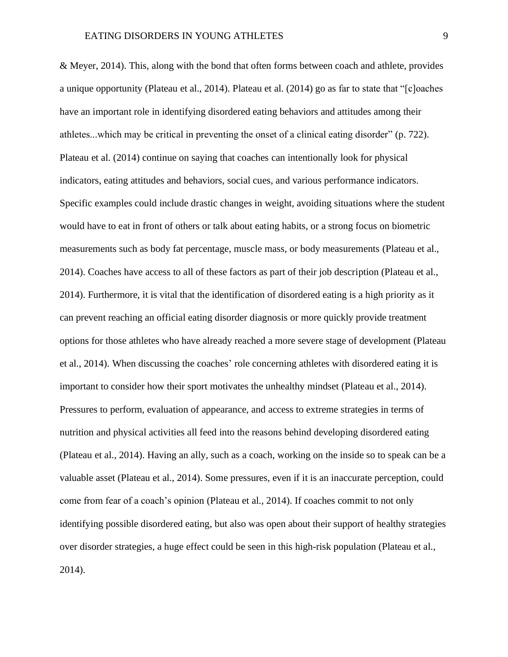& Meyer, 2014). This, along with the bond that often forms between coach and athlete, provides a unique opportunity (Plateau et al., 2014). Plateau et al. (2014) go as far to state that "[c]oaches have an important role in identifying disordered eating behaviors and attitudes among their athletes...which may be critical in preventing the onset of a clinical eating disorder" (p. 722). Plateau et al. (2014) continue on saying that coaches can intentionally look for physical indicators, eating attitudes and behaviors, social cues, and various performance indicators. Specific examples could include drastic changes in weight, avoiding situations where the student would have to eat in front of others or talk about eating habits, or a strong focus on biometric measurements such as body fat percentage, muscle mass, or body measurements (Plateau et al., 2014). Coaches have access to all of these factors as part of their job description (Plateau et al., 2014). Furthermore, it is vital that the identification of disordered eating is a high priority as it can prevent reaching an official eating disorder diagnosis or more quickly provide treatment options for those athletes who have already reached a more severe stage of development (Plateau et al., 2014). When discussing the coaches' role concerning athletes with disordered eating it is important to consider how their sport motivates the unhealthy mindset (Plateau et al., 2014). Pressures to perform, evaluation of appearance, and access to extreme strategies in terms of nutrition and physical activities all feed into the reasons behind developing disordered eating (Plateau et al., 2014). Having an ally, such as a coach, working on the inside so to speak can be a valuable asset (Plateau et al., 2014). Some pressures, even if it is an inaccurate perception, could come from fear of a coach's opinion (Plateau et al., 2014). If coaches commit to not only identifying possible disordered eating, but also was open about their support of healthy strategies over disorder strategies, a huge effect could be seen in this high-risk population (Plateau et al., 2014).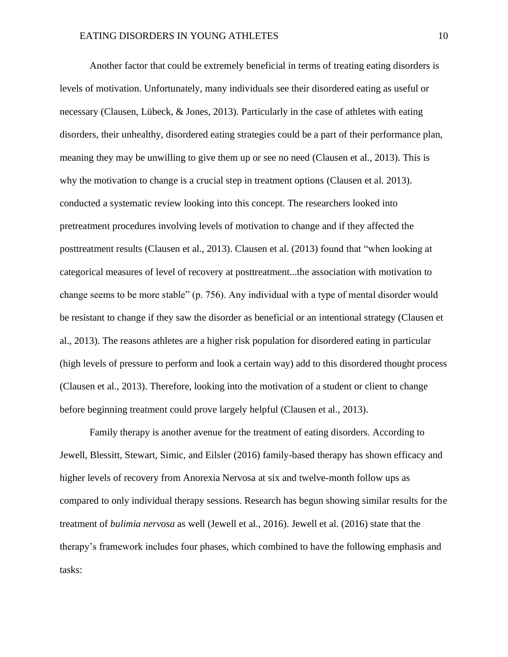Another factor that could be extremely beneficial in terms of treating eating disorders is levels of motivation. Unfortunately, many individuals see their disordered eating as useful or necessary (Clausen, Lübeck, & Jones, 2013). Particularly in the case of athletes with eating disorders, their unhealthy, disordered eating strategies could be a part of their performance plan, meaning they may be unwilling to give them up or see no need (Clausen et al., 2013). This is why the motivation to change is a crucial step in treatment options (Clausen et al. 2013). conducted a systematic review looking into this concept. The researchers looked into pretreatment procedures involving levels of motivation to change and if they affected the posttreatment results (Clausen et al., 2013). Clausen et al. (2013) found that "when looking at categorical measures of level of recovery at posttreatment...the association with motivation to change seems to be more stable" (p. 756). Any individual with a type of mental disorder would be resistant to change if they saw the disorder as beneficial or an intentional strategy (Clausen et al., 2013). The reasons athletes are a higher risk population for disordered eating in particular (high levels of pressure to perform and look a certain way) add to this disordered thought process (Clausen et al., 2013). Therefore, looking into the motivation of a student or client to change before beginning treatment could prove largely helpful (Clausen et al., 2013).

Family therapy is another avenue for the treatment of eating disorders. According to Jewell, Blessitt, Stewart, Simic, and Eilsler (2016) family-based therapy has shown efficacy and higher levels of recovery from Anorexia Nervosa at six and twelve-month follow ups as compared to only individual therapy sessions. Research has begun showing similar results for the treatment of *bulimia nervosa* as well (Jewell et al., 2016). Jewell et al. (2016) state that the therapy's framework includes four phases, which combined to have the following emphasis and tasks: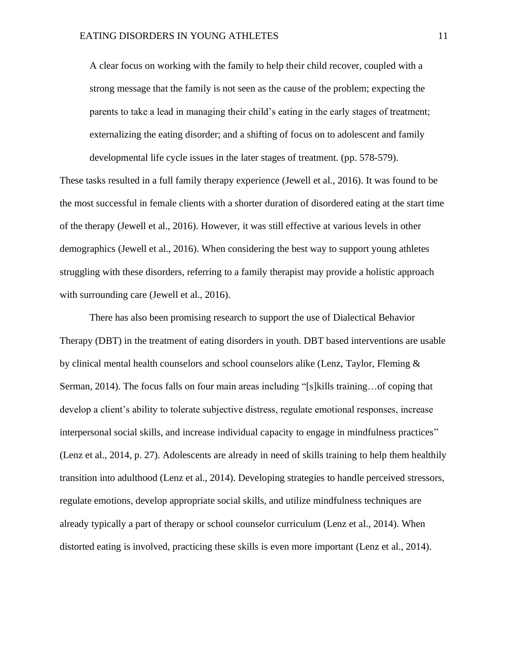A clear focus on working with the family to help their child recover, coupled with a strong message that the family is not seen as the cause of the problem; expecting the parents to take a lead in managing their child's eating in the early stages of treatment; externalizing the eating disorder; and a shifting of focus on to adolescent and family developmental life cycle issues in the later stages of treatment. (pp. 578-579).

These tasks resulted in a full family therapy experience (Jewell et al., 2016). It was found to be the most successful in female clients with a shorter duration of disordered eating at the start time of the therapy (Jewell et al., 2016). However, it was still effective at various levels in other demographics (Jewell et al., 2016). When considering the best way to support young athletes struggling with these disorders, referring to a family therapist may provide a holistic approach with surrounding care (Jewell et al., 2016).

There has also been promising research to support the use of Dialectical Behavior Therapy (DBT) in the treatment of eating disorders in youth. DBT based interventions are usable by clinical mental health counselors and school counselors alike (Lenz, Taylor, Fleming & Serman, 2014). The focus falls on four main areas including "[s]kills training…of coping that develop a client's ability to tolerate subjective distress, regulate emotional responses, increase interpersonal social skills, and increase individual capacity to engage in mindfulness practices" (Lenz et al., 2014, p. 27). Adolescents are already in need of skills training to help them healthily transition into adulthood (Lenz et al., 2014). Developing strategies to handle perceived stressors, regulate emotions, develop appropriate social skills, and utilize mindfulness techniques are already typically a part of therapy or school counselor curriculum (Lenz et al., 2014). When distorted eating is involved, practicing these skills is even more important (Lenz et al., 2014).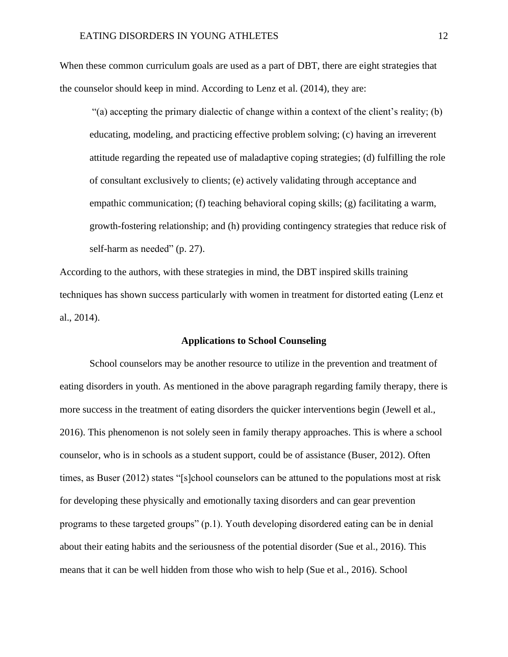When these common curriculum goals are used as a part of DBT, there are eight strategies that the counselor should keep in mind. According to Lenz et al. (2014), they are:

 $(3)$  accepting the primary dialectic of change within a context of the client's reality; (b) educating, modeling, and practicing effective problem solving; (c) having an irreverent attitude regarding the repeated use of maladaptive coping strategies; (d) fulfilling the role of consultant exclusively to clients; (e) actively validating through acceptance and empathic communication; (f) teaching behavioral coping skills; (g) facilitating a warm, growth-fostering relationship; and (h) providing contingency strategies that reduce risk of self-harm as needed" (p. 27).

According to the authors, with these strategies in mind, the DBT inspired skills training techniques has shown success particularly with women in treatment for distorted eating (Lenz et al., 2014).

# **Applications to School Counseling**

School counselors may be another resource to utilize in the prevention and treatment of eating disorders in youth. As mentioned in the above paragraph regarding family therapy, there is more success in the treatment of eating disorders the quicker interventions begin (Jewell et al., 2016). This phenomenon is not solely seen in family therapy approaches. This is where a school counselor, who is in schools as a student support, could be of assistance (Buser, 2012). Often times, as Buser (2012) states "[s]chool counselors can be attuned to the populations most at risk for developing these physically and emotionally taxing disorders and can gear prevention programs to these targeted groups" (p.1). Youth developing disordered eating can be in denial about their eating habits and the seriousness of the potential disorder (Sue et al., 2016). This means that it can be well hidden from those who wish to help (Sue et al., 2016). School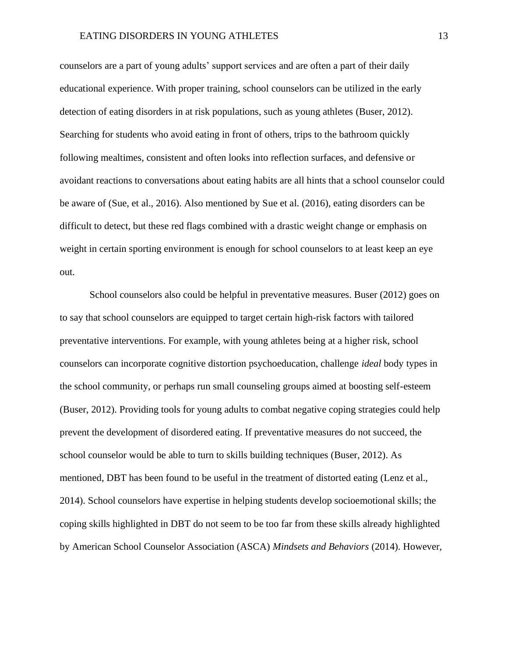# EATING DISORDERS IN YOUNG ATHLETES 13

counselors are a part of young adults' support services and are often a part of their daily educational experience. With proper training, school counselors can be utilized in the early detection of eating disorders in at risk populations, such as young athletes (Buser, 2012). Searching for students who avoid eating in front of others, trips to the bathroom quickly following mealtimes, consistent and often looks into reflection surfaces, and defensive or avoidant reactions to conversations about eating habits are all hints that a school counselor could be aware of (Sue, et al., 2016). Also mentioned by Sue et al. (2016), eating disorders can be difficult to detect, but these red flags combined with a drastic weight change or emphasis on weight in certain sporting environment is enough for school counselors to at least keep an eye out.

School counselors also could be helpful in preventative measures. Buser (2012) goes on to say that school counselors are equipped to target certain high-risk factors with tailored preventative interventions. For example, with young athletes being at a higher risk, school counselors can incorporate cognitive distortion psychoeducation, challenge *ideal* body types in the school community, or perhaps run small counseling groups aimed at boosting self-esteem (Buser, 2012). Providing tools for young adults to combat negative coping strategies could help prevent the development of disordered eating. If preventative measures do not succeed, the school counselor would be able to turn to skills building techniques (Buser, 2012). As mentioned, DBT has been found to be useful in the treatment of distorted eating (Lenz et al., 2014). School counselors have expertise in helping students develop socioemotional skills; the coping skills highlighted in DBT do not seem to be too far from these skills already highlighted by American School Counselor Association (ASCA) *Mindsets and Behaviors* (2014). However,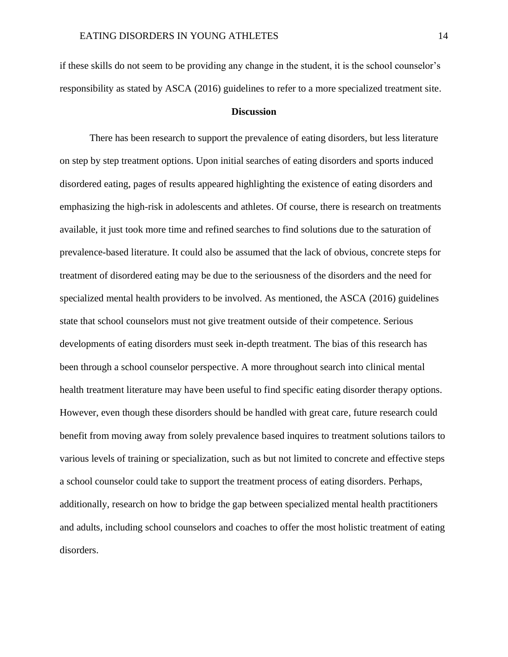if these skills do not seem to be providing any change in the student, it is the school counselor's responsibility as stated by ASCA (2016) guidelines to refer to a more specialized treatment site.

## **Discussion**

There has been research to support the prevalence of eating disorders, but less literature on step by step treatment options. Upon initial searches of eating disorders and sports induced disordered eating, pages of results appeared highlighting the existence of eating disorders and emphasizing the high-risk in adolescents and athletes. Of course, there is research on treatments available, it just took more time and refined searches to find solutions due to the saturation of prevalence-based literature. It could also be assumed that the lack of obvious, concrete steps for treatment of disordered eating may be due to the seriousness of the disorders and the need for specialized mental health providers to be involved. As mentioned, the ASCA (2016) guidelines state that school counselors must not give treatment outside of their competence. Serious developments of eating disorders must seek in-depth treatment. The bias of this research has been through a school counselor perspective. A more throughout search into clinical mental health treatment literature may have been useful to find specific eating disorder therapy options. However, even though these disorders should be handled with great care, future research could benefit from moving away from solely prevalence based inquires to treatment solutions tailors to various levels of training or specialization, such as but not limited to concrete and effective steps a school counselor could take to support the treatment process of eating disorders. Perhaps, additionally, research on how to bridge the gap between specialized mental health practitioners and adults, including school counselors and coaches to offer the most holistic treatment of eating disorders.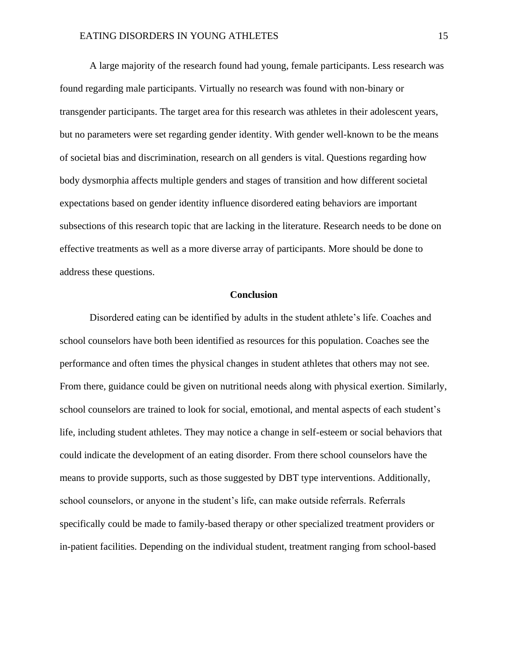# EATING DISORDERS IN YOUNG ATHLETES 15

A large majority of the research found had young, female participants. Less research was found regarding male participants. Virtually no research was found with non-binary or transgender participants. The target area for this research was athletes in their adolescent years, but no parameters were set regarding gender identity. With gender well-known to be the means of societal bias and discrimination, research on all genders is vital. Questions regarding how body dysmorphia affects multiple genders and stages of transition and how different societal expectations based on gender identity influence disordered eating behaviors are important subsections of this research topic that are lacking in the literature. Research needs to be done on effective treatments as well as a more diverse array of participants. More should be done to address these questions.

# **Conclusion**

Disordered eating can be identified by adults in the student athlete's life. Coaches and school counselors have both been identified as resources for this population. Coaches see the performance and often times the physical changes in student athletes that others may not see. From there, guidance could be given on nutritional needs along with physical exertion. Similarly, school counselors are trained to look for social, emotional, and mental aspects of each student's life, including student athletes. They may notice a change in self-esteem or social behaviors that could indicate the development of an eating disorder. From there school counselors have the means to provide supports, such as those suggested by DBT type interventions. Additionally, school counselors, or anyone in the student's life, can make outside referrals. Referrals specifically could be made to family-based therapy or other specialized treatment providers or in-patient facilities. Depending on the individual student, treatment ranging from school-based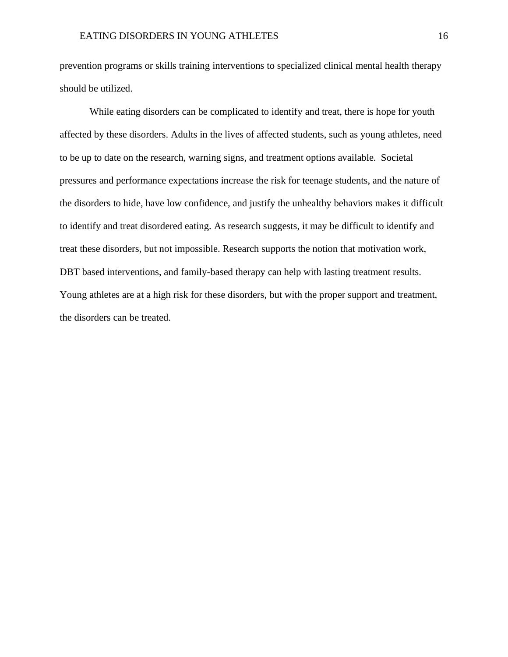prevention programs or skills training interventions to specialized clinical mental health therapy should be utilized.

While eating disorders can be complicated to identify and treat, there is hope for youth affected by these disorders. Adults in the lives of affected students, such as young athletes, need to be up to date on the research, warning signs, and treatment options available. Societal pressures and performance expectations increase the risk for teenage students, and the nature of the disorders to hide, have low confidence, and justify the unhealthy behaviors makes it difficult to identify and treat disordered eating. As research suggests, it may be difficult to identify and treat these disorders, but not impossible. Research supports the notion that motivation work, DBT based interventions, and family-based therapy can help with lasting treatment results. Young athletes are at a high risk for these disorders, but with the proper support and treatment, the disorders can be treated.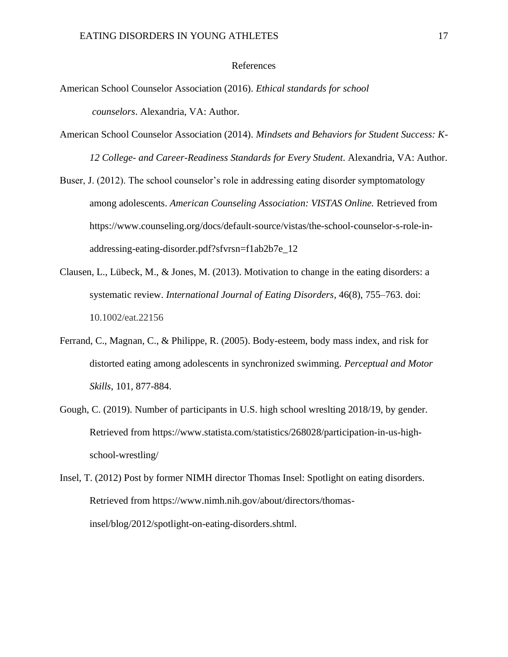# References

- American School Counselor Association (2016). *Ethical standards for school counselors*. Alexandria, VA: Author.
- American School Counselor Association (2014). *Mindsets and Behaviors for Student Success: K-12 College- and Career-Readiness Standards for Every Student*. Alexandria, VA: Author.
- Buser, J. (2012). The school counselor's role in addressing eating disorder symptomatology among adolescents. *American Counseling Association: VISTAS Online.* Retrieved from https://www.counseling.org/docs/default-source/vistas/the-school-counselor-s-role-inaddressing-eating-disorder.pdf?sfvrsn=f1ab2b7e\_12
- Clausen, L., Lübeck, M., & Jones, M. (2013). Motivation to change in the eating disorders: a systematic review. *International Journal of Eating Disorders*, 46(8), 755–763. doi: 10.1002/eat.22156
- Ferrand, C., Magnan, C., & Philippe, R. (2005). Body-esteem, body mass index, and risk for distorted eating among adolescents in synchronized swimming. *Perceptual and Motor Skills*, 101, 877-884.
- Gough, C. (2019). Number of participants in U.S. high school wreslting 2018/19, by gender. Retrieved from https://www.statista.com/statistics/268028/participation-in-us-highschool-wrestling/
- Insel, T. (2012) Post by former NIMH director Thomas Insel: Spotlight on eating disorders. Retrieved from https://www.nimh.nih.gov/about/directors/thomasinsel/blog/2012/spotlight-on-eating-disorders.shtml.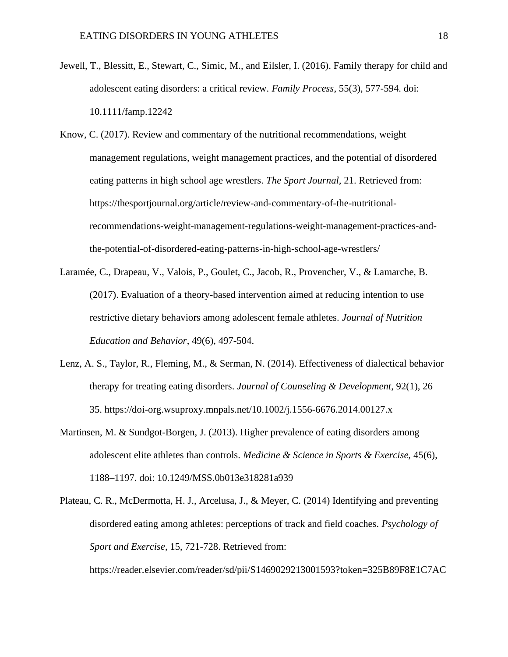- Jewell, T., Blessitt, E., Stewart, C., Simic, M., and Eilsler, I. (2016). Family therapy for child and adolescent eating disorders: a critical review. *Family Process*, 55(3), 577-594. doi: 10.1111/famp.12242
- Know, C. (2017). Review and commentary of the nutritional recommendations, weight management regulations, weight management practices, and the potential of disordered eating patterns in high school age wrestlers. *The Sport Journal,* 21. Retrieved from: https://thesportjournal.org/article/review-and-commentary-of-the-nutritionalrecommendations-weight-management-regulations-weight-management-practices-andthe-potential-of-disordered-eating-patterns-in-high-school-age-wrestlers/
- Laramée, C., Drapeau, V., Valois, P., Goulet, C., Jacob, R., Provencher, V., & Lamarche, B. (2017). Evaluation of a theory-based intervention aimed at reducing intention to use restrictive dietary behaviors among adolescent female athletes. *Journal of Nutrition Education and Behavior*, 49(6), 497-504.
- Lenz, A. S., Taylor, R., Fleming, M., & Serman, N. (2014). Effectiveness of dialectical behavior therapy for treating eating disorders. *Journal of Counseling & Development*, 92(1), 26– 35. https://doi-org.wsuproxy.mnpals.net/10.1002/j.1556-6676.2014.00127.x
- Martinsen, M. & Sundgot-Borgen, J. (2013). Higher prevalence of eating disorders among adolescent elite athletes than controls. *Medicine & Science in Sports & Exercise,* 45(6), 1188–1197. doi: 10.1249/MSS.0b013e318281a939
- Plateau, C. R., McDermotta, H. J., Arcelusa, J., & Meyer, C. (2014) Identifying and preventing disordered eating among athletes: perceptions of track and field coaches. *Psychology of Sport and Exercise*, 15, 721-728. Retrieved from:

https://reader.elsevier.com/reader/sd/pii/S1469029213001593?token=325B89F8E1C7AC